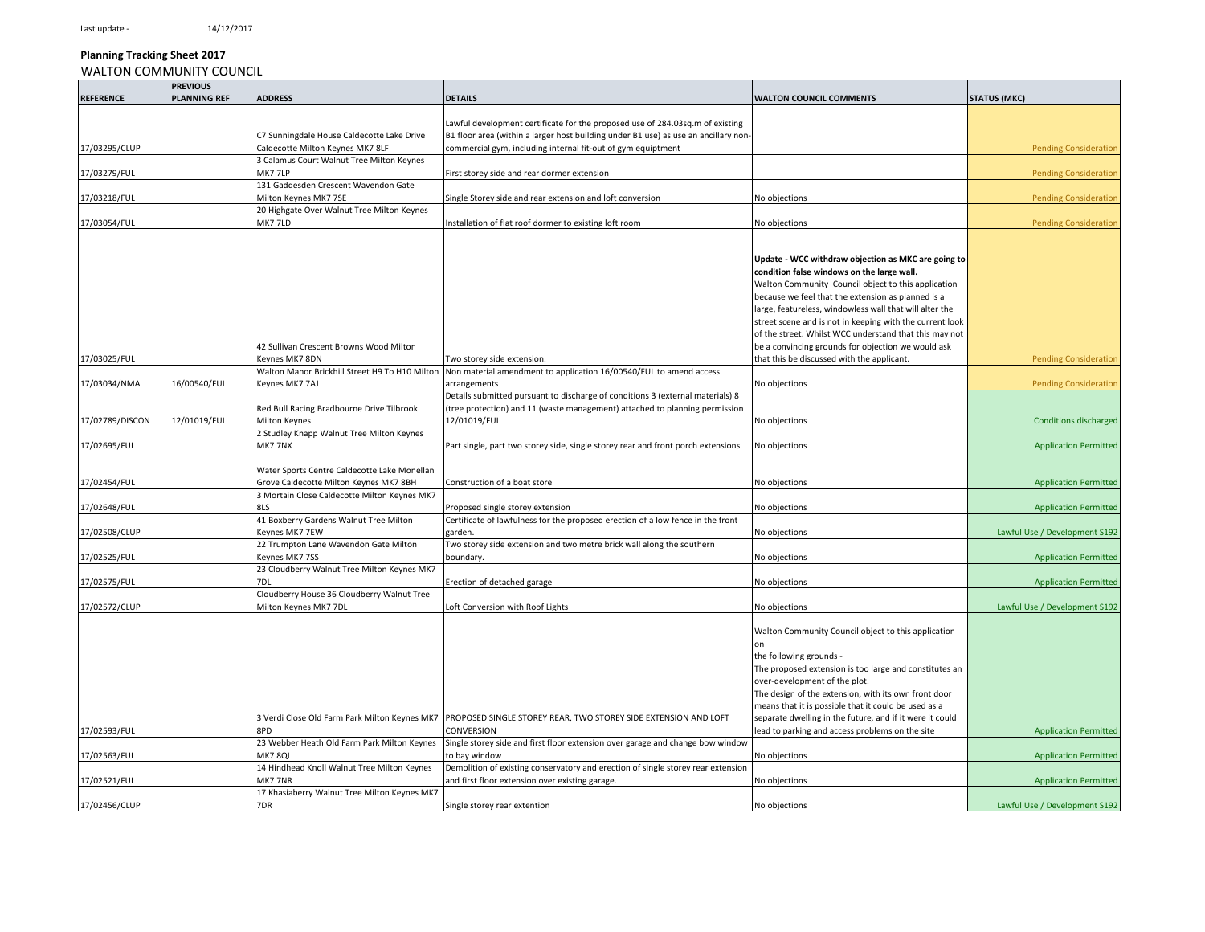17/02456/CLUP

#### **Planning Tracking Sheet 2017** WALTON COMMUNITY COUNCIL

#### **REFERENCE PREVIOUS PLANNING REFUNDS ADDRESS DETAILS PLANNING REFUNDS ADDRESS DETAILS DETAILS COLLECTION COUNCIL COMMENTS STATUS (MKC)** 17/03295/CLUP C7 Sunningdale House Caldecotte Lake Drive Caldecotte Milton Keynes MK7 8LF Lawful development certificate for the proposed use of 284.03sq.m of existing B1 floor area (within a larger host building under B1 use) as use an ancillary noncommercial gym, including internal fit-out of gym equiptment **Pending Consideration** Pending Consideration **Pending Consideration** 17/03279/FUL 3 Calamus Court Walnut Tree Milton Keynes MK7 7LP **First storey side and rear dormer extension** Pending Consideration Pending Consideration Pending Consideration 17/03218/FUL 131 Gaddesden Crescent Wavendon Gate Milton Keynes MK7 7SE Single Storey side and rear extension and loft conversion No objections Pending Consideration 17/03054/FUL 20 Highgate Over Walnut Tree Milton Keynes MK7 7LD **Installation of flat roof dormer to existing loft room** No objections No objections Pending Consideration 17/03025/FUL 42 Sullivan Crescent Browns Wood Milton Keynes MK7 8DN Two storey side extension. **Update - WCC withdraw objection as MKC are going to condition false windows on the large wall.**  Walton Community Council object to this application because we feel that the extension as planned is a arge, featureless, windowless wall that will alter the street scene and is not in keeping with the current look of the street. Whilst WCC understand that this may not be a convincing grounds for objection we would ask hat this be discussed with the applicant.  $\overline{\phantom{a}}$  Pending Consideration 17/03034/NMA 16/00540/FUL Walton Manor Brickhill Street H9 To H10 Milton Keynes MK7 7AJ Non material amendment to application 16/00540/FUL to amend access arrangements and the settlements of the settlement of the settlement of the settlement of the settlement of the settlement of the settlement of the settlement of the settlement of the settlement of the settlement of the se 17/02789/DISCON 12/01019/FUL Red Bull Racing Bradbourne Drive Tilbrook Milton Keynes Details submitted pursuant to discharge of conditions 3 (external materials) 8 (tree protection) and 11 (waste management) attached to planning permission 12/01019/FUL Conditions and the conditions of the conditions of the conditions of the conditions discharged 17/02695/FUL 2 Studley Knapp Walnut Tree Milton Keynes MK7 7NX Part single, part two storey side, single storey rear and front porch extensions No objections Application Permitted Application Permitted Application Permitted Application Permitted Application Permitted Applicati 17/02454/FUL Water Sports Centre Caldecotte Lake Monellan Grove Caldecotte Milton Keynes MK7 8BH Construction of a boat store No objections No objections No objections Application Permitted and Application Permitted and Application Permitted and Application Permitted and Applicat 17/02648/FUL 3 Mortain Close Caldecotte Milton Keynes MK7 8LS Proposed single storey extension and the store of the store of the store of the store of the store of the store of the store of the store of the store of the store of the store of the store of the store of the store of 17/02508/CLUP 41 Boxberry Gardens Walnut Tree Milton Keynes MK7 7EW Certificate of lawfulness for the proposed erection of a low fence in the front garden. No objections Lawful Use / Development S192 17/02525/FUL 22 Trumpton Lane Wavendon Gate Milton Keynes MK7 7SS Two storey side extension and two metre brick wall along the southern boundary. Application Permitted and the set of the objections of the set of the set of the set of the set of the set of the set of the set of the set of the set of the set of the set of the set of the set of the set of the 17/02575/FUL 23 Cloudberry Walnut Tree Milton Keynes MK7 7DL external interveloperation of detached garage notice and the set of the control of the control of the control of the control of the control of the control of the control of the control of the control of the control of 17/02572/CLUP Cloudberry House 36 Cloudberry Walnut Tree Milton Keynes MK7 7DL Loft Conversion with Roof Lights No objections No objections Lawful Use / Development S192 17/02593/FUL 3 Verdi Close Old Farm Park Milton Keynes MK7 PROPOSED SINGLE STOREY REAR, TWO STOREY SIDE EXTENSION AND LOFT 8PD CONVERSION Walton Community Council object to this application on the following grounds - The proposed extension is too large and constitutes an over-development of the plot. The design of the extension, with its own front door means that it is possible that it could be used as a separate dwelling in the future, and if it were it could ead to parking and access problems on the site  $\blacksquare$  Application Permitted 17/02563/FUL 23 Webber Heath Old Farm Park Milton Keynes MK7 8QL Single storey side and first floor extension over garage and change bow window o bay window **No objections** No objections and the control of the extensive proportions and the extensive proportion Permitted and the extensive proportion Permitted and the extensive proportion Permitted and the extensive 17/02521/FUL 14 Hindhead Knoll Walnut Tree Milton Keynes MK7 7NR Demolition of existing conservatory and erection of single storey rear extension and first floor extension over existing garage. No objections and in the state of the state of the state of the state of the state of the state of the state of the state of the state of the state of the state of the state 17 Khasiaberry Walnut Tree Milton Keynes MK7

7DR Single storey rear extention No objections No objections No objections and Development S192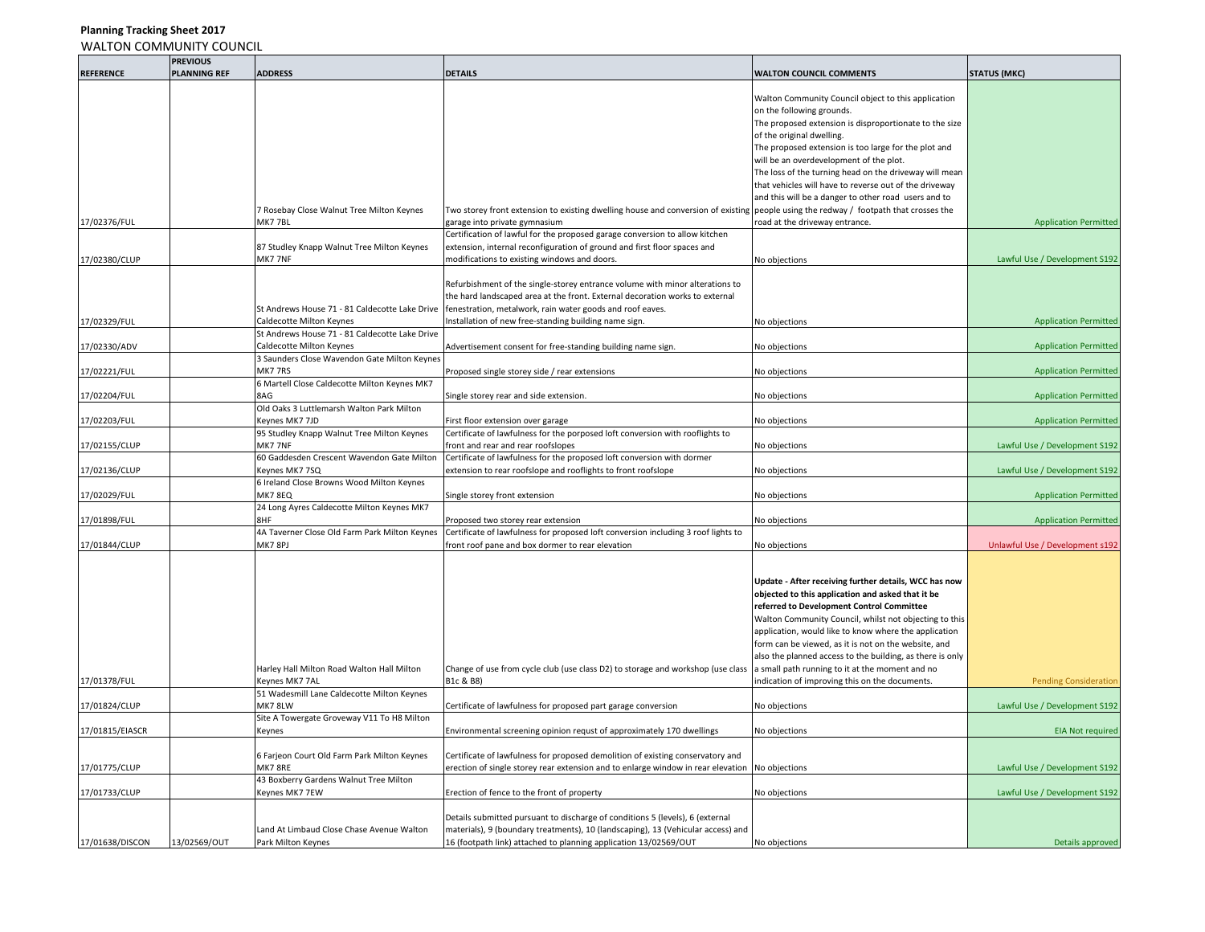## **Planning Tracking Sheet 2017** WALTON COMMUNITY COUNCIL

|                  | <b>PREVIOUS</b>     |                                                |                                                                                                                                      |                                                           |                                 |
|------------------|---------------------|------------------------------------------------|--------------------------------------------------------------------------------------------------------------------------------------|-----------------------------------------------------------|---------------------------------|
| <b>REFERENCE</b> | <b>PLANNING REF</b> | <b>ADDRESS</b>                                 | <b>DETAILS</b>                                                                                                                       | <b>WALTON COUNCIL COMMENTS</b>                            | <b>STATUS (MKC)</b>             |
|                  |                     |                                                |                                                                                                                                      |                                                           |                                 |
|                  |                     |                                                |                                                                                                                                      | Walton Community Council object to this application       |                                 |
|                  |                     |                                                |                                                                                                                                      | on the following grounds.                                 |                                 |
|                  |                     |                                                |                                                                                                                                      | The proposed extension is disproportionate to the size    |                                 |
|                  |                     |                                                |                                                                                                                                      | of the original dwelling.                                 |                                 |
|                  |                     |                                                |                                                                                                                                      | The proposed extension is too large for the plot and      |                                 |
|                  |                     |                                                |                                                                                                                                      | will be an overdevelopment of the plot.                   |                                 |
|                  |                     |                                                |                                                                                                                                      | The loss of the turning head on the driveway will mean    |                                 |
|                  |                     |                                                |                                                                                                                                      | that vehicles will have to reverse out of the driveway    |                                 |
|                  |                     |                                                |                                                                                                                                      | and this will be a danger to other road users and to      |                                 |
|                  |                     | 7 Rosebay Close Walnut Tree Milton Keynes      | Two storey front extension to existing dwelling house and conversion of existing people using the redway / footpath that crosses the |                                                           |                                 |
| 17/02376/FUL     |                     | MK77BL                                         | garage into private gymnasium                                                                                                        | road at the driveway entrance.                            | <b>Application Permitted</b>    |
|                  |                     |                                                | Certification of lawful for the proposed garage conversion to allow kitchen                                                          |                                                           |                                 |
|                  |                     | 87 Studley Knapp Walnut Tree Milton Keynes     | extension, internal reconfiguration of ground and first floor spaces and                                                             |                                                           |                                 |
| 17/02380/CLUP    |                     | MK7 7NF                                        | modifications to existing windows and doors.                                                                                         |                                                           | Lawful Use / Development S192   |
|                  |                     |                                                |                                                                                                                                      | No objections                                             |                                 |
|                  |                     |                                                |                                                                                                                                      |                                                           |                                 |
|                  |                     |                                                | Refurbishment of the single-storey entrance volume with minor alterations to                                                         |                                                           |                                 |
|                  |                     |                                                | the hard landscaped area at the front. External decoration works to external                                                         |                                                           |                                 |
|                  |                     | St Andrews House 71 - 81 Caldecotte Lake Drive | fenestration, metalwork, rain water goods and roof eaves.                                                                            |                                                           |                                 |
| 17/02329/FUL     |                     | Caldecotte Milton Keynes                       | nstallation of new free-standing building name sign.                                                                                 | No objections                                             | <b>Application Permitted</b>    |
|                  |                     | St Andrews House 71 - 81 Caldecotte Lake Drive |                                                                                                                                      |                                                           |                                 |
| 17/02330/ADV     |                     | Caldecotte Milton Keynes                       | Advertisement consent for free-standing building name sign.                                                                          | No objections                                             | <b>Application Permitted</b>    |
|                  |                     | 3 Saunders Close Wavendon Gate Milton Keynes   |                                                                                                                                      |                                                           |                                 |
| 17/02221/FUL     |                     | MK77RS                                         | Proposed single storey side / rear extensions                                                                                        | No objections                                             | <b>Application Permitted</b>    |
|                  |                     | 6 Martell Close Caldecotte Milton Keynes MK7   |                                                                                                                                      |                                                           |                                 |
| 17/02204/FUL     |                     | 8AG                                            | Single storey rear and side extension.                                                                                               | No objections                                             | <b>Application Permitted</b>    |
|                  |                     | Old Oaks 3 Luttlemarsh Walton Park Milton      |                                                                                                                                      |                                                           |                                 |
| 17/02203/FUL     |                     | Keynes MK7 7JD                                 | First floor extension over garage                                                                                                    | No objections                                             | <b>Application Permitted</b>    |
|                  |                     | 95 Studley Knapp Walnut Tree Milton Keynes     | Certificate of lawfulness for the porposed loft conversion with rooflights to                                                        |                                                           |                                 |
| 17/02155/CLUP    |                     | MK7 7NF                                        | front and rear and rear roofslopes                                                                                                   | No objections                                             | Lawful Use / Development S192   |
|                  |                     | 60 Gaddesden Crescent Wavendon Gate Milton     | Certificate of lawfulness for the proposed loft conversion with dormer                                                               |                                                           |                                 |
| 17/02136/CLUP    |                     | Keynes MK7 7SQ                                 | extension to rear roofslope and rooflights to front roofslope                                                                        | No objections                                             | Lawful Use / Development S192   |
|                  |                     | 6 Ireland Close Browns Wood Milton Keynes      |                                                                                                                                      |                                                           |                                 |
| 17/02029/FUL     |                     | <b>MK7 8EQ</b>                                 | Single storey front extension                                                                                                        | No objections                                             | <b>Application Permitted</b>    |
|                  |                     | 24 Long Ayres Caldecotte Milton Keynes MK7     |                                                                                                                                      |                                                           |                                 |
| 17/01898/FUL     |                     | <b>RHF</b>                                     | Proposed two storey rear extension                                                                                                   | No objections                                             | <b>Application Permitted</b>    |
|                  |                     | 4A Taverner Close Old Farm Park Milton Keynes  | Certificate of lawfulness for proposed loft conversion including 3 roof lights to                                                    |                                                           |                                 |
| 17/01844/CLUP    |                     | MK7 8PJ                                        | front roof pane and box dormer to rear elevation                                                                                     | No objections                                             | Unlawful Use / Development s192 |
|                  |                     |                                                |                                                                                                                                      |                                                           |                                 |
|                  |                     |                                                |                                                                                                                                      |                                                           |                                 |
|                  |                     |                                                |                                                                                                                                      | Update - After receiving further details, WCC has now     |                                 |
|                  |                     |                                                |                                                                                                                                      |                                                           |                                 |
|                  |                     |                                                |                                                                                                                                      | objected to this application and asked that it be         |                                 |
|                  |                     |                                                |                                                                                                                                      | referred to Development Control Committee                 |                                 |
|                  |                     |                                                |                                                                                                                                      | Walton Community Council, whilst not objecting to this    |                                 |
|                  |                     |                                                |                                                                                                                                      | application, would like to know where the application     |                                 |
|                  |                     |                                                |                                                                                                                                      | form can be viewed, as it is not on the website, and      |                                 |
|                  |                     |                                                |                                                                                                                                      | also the planned access to the building, as there is only |                                 |
|                  |                     | Harley Hall Milton Road Walton Hall Milton     | Change of use from cycle club (use class D2) to storage and workshop (use class                                                      | a small path running to it at the moment and no           |                                 |
| 17/01378/FUL     |                     | Keynes MK7 7AL                                 | B1c & B8)                                                                                                                            | ndication of improving this on the documents.             | <b>Pending Consideration</b>    |
|                  |                     | 51 Wadesmill Lane Caldecotte Milton Keynes     |                                                                                                                                      |                                                           |                                 |
| 17/01824/CLUP    |                     | MK78LW                                         | Certificate of lawfulness for proposed part garage conversion                                                                        | No objections                                             | Lawful Use / Development S192   |
|                  |                     | Site A Towergate Groveway V11 To H8 Milton     |                                                                                                                                      |                                                           |                                 |
| 17/01815/EIASCR  |                     | Keynes                                         | Environmental screening opinion requst of approximately 170 dwellings                                                                | No objections                                             | <b>EIA Not required</b>         |
|                  |                     |                                                |                                                                                                                                      |                                                           |                                 |
|                  |                     | 6 Farjeon Court Old Farm Park Milton Keynes    | Certificate of lawfulness for proposed demolition of existing conservatory and                                                       |                                                           |                                 |
| 17/01775/CLUP    |                     | MK7 8RE                                        | erection of single storey rear extension and to enlarge window in rear elevation                                                     | No objections                                             | Lawful Use / Development S192   |
|                  |                     | 43 Boxberry Gardens Walnut Tree Milton         |                                                                                                                                      |                                                           |                                 |
| 17/01733/CLUP    |                     | Keynes MK7 7EW                                 | Erection of fence to the front of property                                                                                           | No objections                                             | Lawful Use / Development S192   |
|                  |                     |                                                |                                                                                                                                      |                                                           |                                 |
|                  |                     |                                                | Details submitted pursuant to discharge of conditions 5 (levels), 6 (external                                                        |                                                           |                                 |
|                  |                     | Land At Limbaud Close Chase Avenue Walton      | materials), 9 (boundary treatments), 10 (landscaping), 13 (Vehicular access) and                                                     |                                                           |                                 |
| 17/01638/DISCON  | 13/02569/OUT        | Park Milton Keynes                             | 16 (footpath link) attached to planning application 13/02569/OUT                                                                     |                                                           | Details approved                |
|                  |                     |                                                |                                                                                                                                      | No objections                                             |                                 |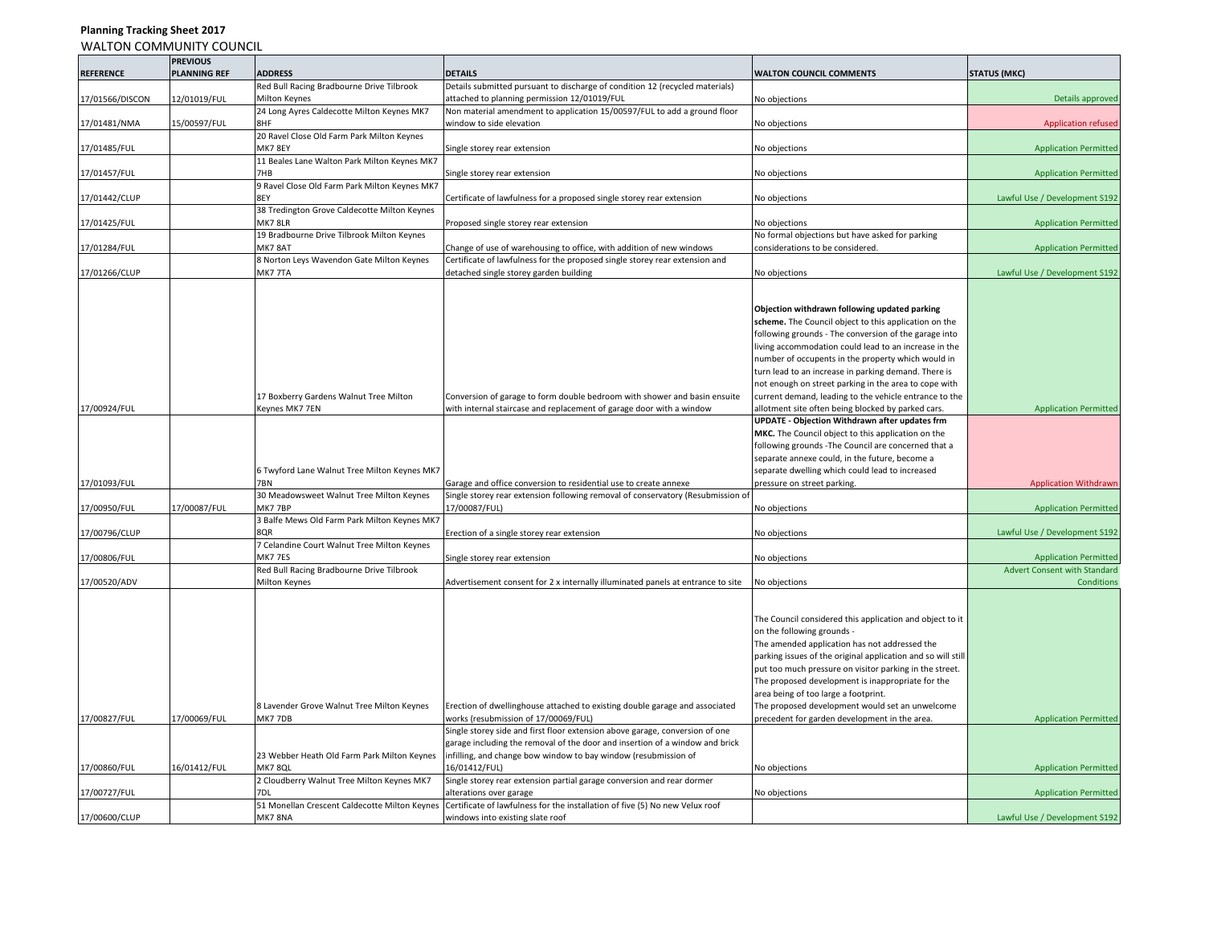# **Planning Tracking Sheet 2017**

WALTON COMMUNITY COUNCIL

|                  | <b>PREVIOUS</b>     |                                               |                                                                                 |                                                              |                                     |
|------------------|---------------------|-----------------------------------------------|---------------------------------------------------------------------------------|--------------------------------------------------------------|-------------------------------------|
| <b>REFERENCE</b> | <b>PLANNING REF</b> | <b>ADDRESS</b>                                | <b>DETAILS</b>                                                                  | <b>WALTON COUNCIL COMMENTS</b>                               | <b>STATUS (MKC)</b>                 |
|                  |                     | Red Bull Racing Bradbourne Drive Tilbrook     | Details submitted pursuant to discharge of condition 12 (recycled materials)    |                                                              |                                     |
| 17/01566/DISCON  | 12/01019/FUL        | Milton Keynes                                 | attached to planning permission 12/01019/FUL                                    | No objections                                                | Details approved                    |
|                  |                     | 24 Long Ayres Caldecotte Milton Keynes MK7    | Non material amendment to application 15/00597/FUL to add a ground floor        |                                                              |                                     |
| 17/01481/NMA     | 15/00597/FUL        | <b>BHF</b>                                    | vindow to side elevation                                                        | No objections                                                | <b>Application refused</b>          |
|                  |                     | 20 Ravel Close Old Farm Park Milton Keynes    |                                                                                 |                                                              |                                     |
| 17/01485/FUL     |                     | MK7 8EY                                       | Single storey rear extension                                                    | No objections                                                | <b>Application Permitted</b>        |
|                  |                     | 11 Beales Lane Walton Park Milton Keynes MK7  |                                                                                 |                                                              |                                     |
| 17/01457/FUL     |                     | 7HB                                           | Single storey rear extension                                                    | No objections                                                | <b>Application Permitted</b>        |
|                  |                     | 9 Ravel Close Old Farm Park Milton Keynes MK7 |                                                                                 |                                                              |                                     |
| 17/01442/CLUP    |                     | 8EY                                           | Certificate of lawfulness for a proposed single storey rear extension           | No objections                                                | Lawful Use / Development S192       |
|                  |                     | 38 Tredington Grove Caldecotte Milton Keynes  |                                                                                 |                                                              |                                     |
| 17/01425/FUL     |                     | MK78LR                                        | Proposed single storey rear extension                                           | No objections                                                | <b>Application Permitted</b>        |
|                  |                     | 19 Bradbourne Drive Tilbrook Milton Keynes    |                                                                                 | No formal objections but have asked for parking              |                                     |
| 17/01284/FUL     |                     | <b>MK7 8AT</b>                                | Change of use of warehousing to office, with addition of new windows            | considerations to be considered.                             | <b>Application Permitted</b>        |
|                  |                     | 8 Norton Leys Wavendon Gate Milton Keynes     | Certificate of lawfulness for the proposed single storey rear extension and     |                                                              |                                     |
| 17/01266/CLUP    |                     | MK7 7TA                                       | detached single storey garden building                                          | No objections                                                | Lawful Use / Development S192       |
|                  |                     |                                               |                                                                                 |                                                              |                                     |
|                  |                     |                                               |                                                                                 |                                                              |                                     |
|                  |                     |                                               |                                                                                 | Objection withdrawn following updated parking                |                                     |
|                  |                     |                                               |                                                                                 | scheme. The Council object to this application on the        |                                     |
|                  |                     |                                               |                                                                                 | following grounds - The conversion of the garage into        |                                     |
|                  |                     |                                               |                                                                                 | living accommodation could lead to an increase in the        |                                     |
|                  |                     |                                               |                                                                                 | number of occupents in the property which would in           |                                     |
|                  |                     |                                               |                                                                                 | turn lead to an increase in parking demand. There is         |                                     |
|                  |                     |                                               |                                                                                 | not enough on street parking in the area to cope with        |                                     |
|                  |                     | 17 Boxberry Gardens Walnut Tree Milton        | Conversion of garage to form double bedroom with shower and basin ensuite       | current demand, leading to the vehicle entrance to the       |                                     |
| 17/00924/FUL     |                     | Keynes MK7 7EN                                | with internal staircase and replacement of garage door with a window            | allotment site often being blocked by parked cars.           | <b>Application Permitted</b>        |
|                  |                     |                                               |                                                                                 | UPDATE - Objection Withdrawn after updates frm               |                                     |
|                  |                     |                                               |                                                                                 | MKC. The Council object to this application on the           |                                     |
|                  |                     |                                               |                                                                                 | following grounds - The Council are concerned that a         |                                     |
|                  |                     |                                               |                                                                                 | separate annexe could, in the future, become a               |                                     |
|                  |                     | 6 Twyford Lane Walnut Tree Milton Keynes MK7  |                                                                                 | separate dwelling which could lead to increased              |                                     |
| 17/01093/FUL     |                     | 7BN                                           | Garage and office conversion to residential use to create annexe                | pressure on street parking.                                  | <b>Application Withdrawr</b>        |
|                  |                     | 30 Meadowsweet Walnut Tree Milton Keynes      | Single storey rear extension following removal of conservatory (Resubmission of |                                                              |                                     |
| 17/00950/FUL     | 17/00087/FUL        | <b>MK7 7BP</b>                                | 17/00087/FUL)                                                                   | No objections                                                | <b>Application Permitted</b>        |
|                  |                     | 3 Balfe Mews Old Farm Park Milton Keynes MK7  |                                                                                 |                                                              |                                     |
| 17/00796/CLUP    |                     | 8QR                                           | Erection of a single storey rear extension                                      | No objections                                                | Lawful Use / Development S192       |
|                  |                     | 7 Celandine Court Walnut Tree Milton Keynes   |                                                                                 |                                                              |                                     |
| 17/00806/FUL     |                     | MK77ES                                        | Single storey rear extension                                                    | No objections                                                | <b>Application Permitted</b>        |
|                  |                     | Red Bull Racing Bradbourne Drive Tilbrook     |                                                                                 |                                                              | <b>Advert Consent with Standard</b> |
| 17/00520/ADV     |                     | Milton Keynes                                 | Advertisement consent for 2 x internally illuminated panels at entrance to site | No objections                                                | Conditions                          |
|                  |                     |                                               |                                                                                 |                                                              |                                     |
|                  |                     |                                               |                                                                                 |                                                              |                                     |
|                  |                     |                                               |                                                                                 | The Council considered this application and object to it     |                                     |
|                  |                     |                                               |                                                                                 | on the following grounds -                                   |                                     |
|                  |                     |                                               |                                                                                 | The amended application has not addressed the                |                                     |
|                  |                     |                                               |                                                                                 | parking issues of the original application and so will still |                                     |
|                  |                     |                                               |                                                                                 | put too much pressure on visitor parking in the street.      |                                     |
|                  |                     |                                               |                                                                                 | The proposed development is inappropriate for the            |                                     |
|                  |                     |                                               |                                                                                 | area being of too large a footprint.                         |                                     |
|                  |                     | 8 Lavender Grove Walnut Tree Milton Keynes    | Erection of dwellinghouse attached to existing double garage and associated     | The proposed development would set an unwelcome              |                                     |
| 17/00827/FUL     | 17/00069/FUL        | MK7 7DB                                       | works (resubmission of 17/00069/FUL)                                            | precedent for garden development in the area.                | <b>Application Permitted</b>        |
|                  |                     |                                               | Single storey side and first floor extension above garage, conversion of one    |                                                              |                                     |
|                  |                     |                                               | garage including the removal of the door and insertion of a window and brick    |                                                              |                                     |
|                  |                     | 23 Webber Heath Old Farm Park Milton Keynes   | infilling, and change bow window to bay window (resubmission of                 |                                                              |                                     |
| 17/00860/FUL     | 16/01412/FUL        | MK7 8QL                                       | 16/01412/FUL)                                                                   | No objections                                                | <b>Application Permitted</b>        |
|                  |                     | 2 Cloudberry Walnut Tree Milton Keynes MK7    | Single storey rear extension partial garage conversion and rear dormer          |                                                              |                                     |
| 17/00727/FUL     |                     |                                               | lterations over garage                                                          | No objections                                                | <b>Application Permitted</b>        |
|                  |                     | 51 Monellan Crescent Caldecotte Milton Keynes | Certificate of lawfulness for the installation of five (5) No new Velux roof    |                                                              |                                     |
| 17/00600/CLUP    |                     | MK78NA                                        | windows into existing slate roof                                                |                                                              | Lawful Use / Development S192       |